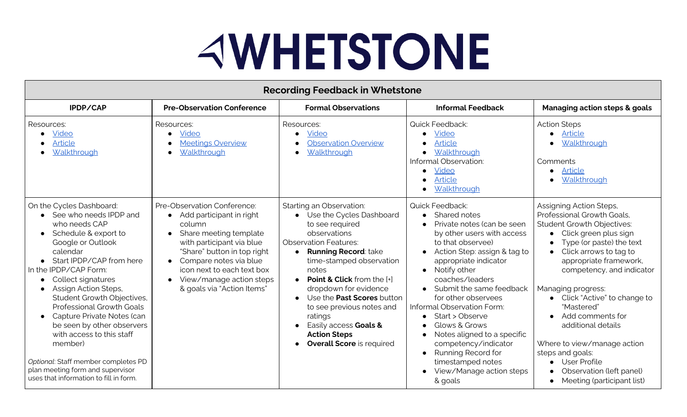## **AWHETSTONE**

| <b>Recording Feedback in Whetstone</b>                                                                                                                                                                                                                                                                                                                                                                                                                                                                                         |                                                                                                                                                                                                                                                                                        |                                                                                                                                                                                                                                                                                                                                                                                                                                                |                                                                                                                                                                                                                                                                                                                                                                                                                                                                                   |                                                                                                                                                                                                                                                                                                                                                                                                                                                                                     |  |
|--------------------------------------------------------------------------------------------------------------------------------------------------------------------------------------------------------------------------------------------------------------------------------------------------------------------------------------------------------------------------------------------------------------------------------------------------------------------------------------------------------------------------------|----------------------------------------------------------------------------------------------------------------------------------------------------------------------------------------------------------------------------------------------------------------------------------------|------------------------------------------------------------------------------------------------------------------------------------------------------------------------------------------------------------------------------------------------------------------------------------------------------------------------------------------------------------------------------------------------------------------------------------------------|-----------------------------------------------------------------------------------------------------------------------------------------------------------------------------------------------------------------------------------------------------------------------------------------------------------------------------------------------------------------------------------------------------------------------------------------------------------------------------------|-------------------------------------------------------------------------------------------------------------------------------------------------------------------------------------------------------------------------------------------------------------------------------------------------------------------------------------------------------------------------------------------------------------------------------------------------------------------------------------|--|
| IPDP/CAP                                                                                                                                                                                                                                                                                                                                                                                                                                                                                                                       | <b>Pre-Observation Conference</b>                                                                                                                                                                                                                                                      | <b>Formal Observations</b>                                                                                                                                                                                                                                                                                                                                                                                                                     | <b>Informal Feedback</b>                                                                                                                                                                                                                                                                                                                                                                                                                                                          | <b>Managing action steps &amp; goals</b>                                                                                                                                                                                                                                                                                                                                                                                                                                            |  |
| Resources:<br>Video<br><b>Article</b><br>Walkthrough                                                                                                                                                                                                                                                                                                                                                                                                                                                                           | Resources:<br>Video<br><b>Meetings Overview</b><br>Walkthrough                                                                                                                                                                                                                         | Resources:<br>Video<br><b>Observation Overview</b><br>Walkthrough                                                                                                                                                                                                                                                                                                                                                                              | Quick Feedback:<br>Video<br><b>Article</b><br>Walkthrough<br>Informal Observation:<br>Video<br><b>Article</b><br>Walkthrough                                                                                                                                                                                                                                                                                                                                                      | <b>Action Steps</b><br>Article<br>Walkthrough<br>Comments<br>Article<br>Walkthrough                                                                                                                                                                                                                                                                                                                                                                                                 |  |
| On the Cycles Dashboard:<br>• See who needs IPDP and<br>who needs CAP<br>Schedule & export to<br>Google or Outlook<br>calendar<br>• Start IPDP/CAP from here<br>In the IPDP/CAP Form:<br>Collect signatures<br>Assign Action Steps,<br>Student Growth Objectives,<br><b>Professional Growth Goals</b><br>Capture Private Notes (can<br>be seen by other observers<br>with access to this staff<br>member)<br>Optional: Staff member completes PD<br>plan meeting form and supervisor<br>uses that information to fill in form. | Pre-Observation Conference:<br>Add participant in right<br>$\bullet$<br>column<br>Share meeting template<br>with participant via blue<br>"Share" button in top right<br>Compare notes via blue<br>icon next to each text box<br>View/manage action steps<br>& goals via "Action Items" | Starting an Observation:<br>• Use the Cycles Dashboard<br>to see required<br>observations<br><b>Observation Features:</b><br><b>Running Record: take</b><br>$\bullet$<br>time-stamped observation<br>notes<br>$\bullet$ Point & Click from the $[+]$<br>dropdown for evidence<br>Use the <b>Past Scores</b> button<br>to see previous notes and<br>ratings<br>Easily access Goals &<br><b>Action Steps</b><br><b>Overall Score</b> is required | <b>Quick Feedback:</b><br>Shared notes<br>Private notes (can be seen<br>by other users with access<br>to that observee)<br>Action Step: assign & tag to<br>appropriate indicator<br>Notify other<br>coaches/leaders<br>Submit the same feedback<br>for other observees<br>Informal Observation Form:<br>Start > Observe<br>Glows & Grows<br>Notes aligned to a specific<br>competency/indicator<br>Running Record for<br>timestamped notes<br>View/Manage action steps<br>& goals | Assigning Action Steps,<br>Professional Growth Goals,<br><b>Student Growth Objectives:</b><br>Click green plus sign<br>Type (or paste) the text<br>Click arrows to tag to<br>appropriate framework,<br>competency, and indicator<br>Managing progress:<br>• Click "Active" to change to<br>"Mastered"<br>Add comments for<br>additional details<br>Where to view/manage action<br>steps and goals:<br><b>User Profile</b><br>Observation (left panel)<br>Meeting (participant list) |  |